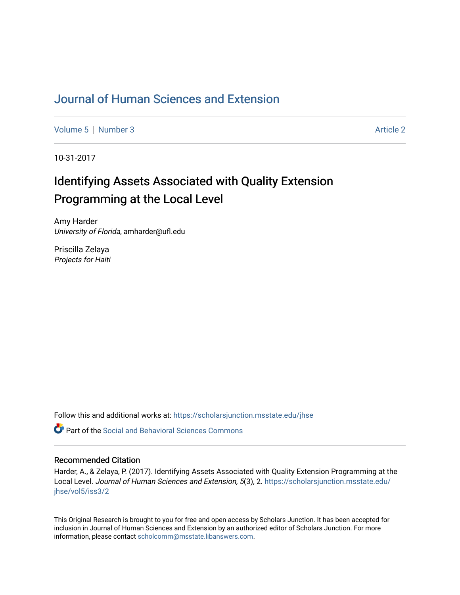## [Journal of Human Sciences and Extension](https://scholarsjunction.msstate.edu/jhse)

[Volume 5](https://scholarsjunction.msstate.edu/jhse/vol5) | [Number 3](https://scholarsjunction.msstate.edu/jhse/vol5/iss3) Article 2

10-31-2017

# Identifying Assets Associated with Quality Extension Programming at the Local Level

Amy Harder University of Florida, amharder@ufl.edu

Priscilla Zelaya Projects for Haiti

Follow this and additional works at: [https://scholarsjunction.msstate.edu/jhse](https://scholarsjunction.msstate.edu/jhse?utm_source=scholarsjunction.msstate.edu%2Fjhse%2Fvol5%2Fiss3%2F2&utm_medium=PDF&utm_campaign=PDFCoverPages)

 $\bullet$  Part of the Social and Behavioral Sciences Commons

#### Recommended Citation

Harder, A., & Zelaya, P. (2017). Identifying Assets Associated with Quality Extension Programming at the Local Level. Journal of Human Sciences and Extension, 5(3), 2. [https://scholarsjunction.msstate.edu/](https://scholarsjunction.msstate.edu/jhse/vol5/iss3/2?utm_source=scholarsjunction.msstate.edu%2Fjhse%2Fvol5%2Fiss3%2F2&utm_medium=PDF&utm_campaign=PDFCoverPages) [jhse/vol5/iss3/2](https://scholarsjunction.msstate.edu/jhse/vol5/iss3/2?utm_source=scholarsjunction.msstate.edu%2Fjhse%2Fvol5%2Fiss3%2F2&utm_medium=PDF&utm_campaign=PDFCoverPages)

This Original Research is brought to you for free and open access by Scholars Junction. It has been accepted for inclusion in Journal of Human Sciences and Extension by an authorized editor of Scholars Junction. For more information, please contact [scholcomm@msstate.libanswers.com](mailto:scholcomm@msstate.libanswers.com).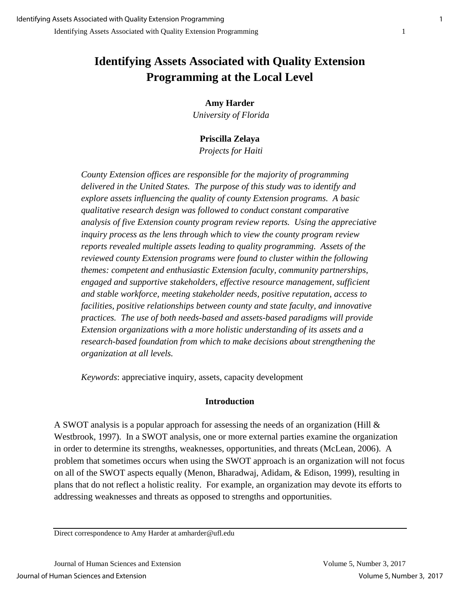## **Identifying Assets Associated with Quality Extension Programming at the Local Level**

#### **Amy Harder**

*University of Florida*

## **Priscilla Zelaya**

*Projects for Haiti*

*County Extension offices are responsible for the majority of programming delivered in the United States. The purpose of this study was to identify and explore assets influencing the quality of county Extension programs. A basic qualitative research design was followed to conduct constant comparative analysis of five Extension county program review reports. Using the appreciative inquiry process as the lens through which to view the county program review reports revealed multiple assets leading to quality programming. Assets of the reviewed county Extension programs were found to cluster within the following themes: competent and enthusiastic Extension faculty, community partnerships,*  engaged and supportive stakeholders, effective resource management, sufficient *and stable workforce, meeting stakeholder needs, positive reputation, access to facilities, positive relationships between county and state faculty, and innovative practices. The use of both needs-based and assets-based paradigms will provide Extension organizations with a more holistic understanding of its assets and a research-based foundation from which to make decisions about strengthening the organization at all levels.*

*Keywords*: appreciative inquiry, assets, capacity development

#### **Introduction**

A SWOT analysis is a popular approach for assessing the needs of an organization (Hill & Westbrook, 1997). In a SWOT analysis, one or more external parties examine the organization in order to determine its strengths, weaknesses, opportunities, and threats (McLean, 2006). A problem that sometimes occurs when using the SWOT approach is an organization will not focus on all of the SWOT aspects equally (Menon, Bharadwaj, Adidam, & Edison, 1999), resulting in plans that do not reflect a holistic reality. For example, an organization may devote its efforts to addressing weaknesses and threats as opposed to strengths and opportunities.

Direct correspondence to Amy Harder at amharder@ufl.edu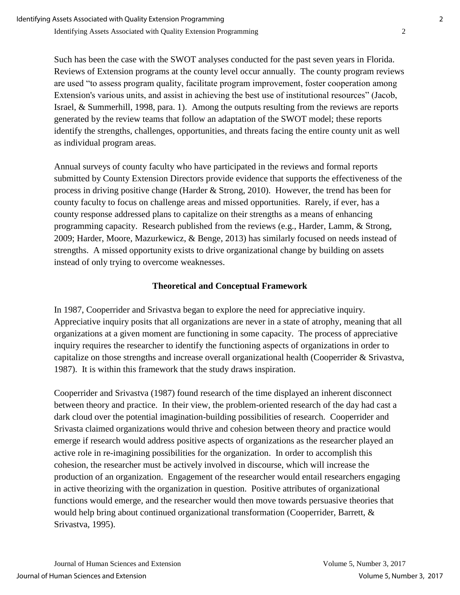Such has been the case with the SWOT analyses conducted for the past seven years in Florida. Reviews of Extension programs at the county level occur annually. The county program reviews are used "to assess program quality, facilitate program improvement, foster cooperation among Extension's various units, and assist in achieving the best use of institutional resources" (Jacob, Israel, & Summerhill, 1998, para. 1). Among the outputs resulting from the reviews are reports generated by the review teams that follow an adaptation of the SWOT model; these reports identify the strengths, challenges, opportunities, and threats facing the entire county unit as well as individual program areas.

Annual surveys of county faculty who have participated in the reviews and formal reports submitted by County Extension Directors provide evidence that supports the effectiveness of the process in driving positive change (Harder & Strong, 2010). However, the trend has been for county faculty to focus on challenge areas and missed opportunities. Rarely, if ever, has a county response addressed plans to capitalize on their strengths as a means of enhancing programming capacity. Research published from the reviews (e.g., Harder, Lamm, & Strong, 2009; Harder, Moore, Mazurkewicz, & Benge, 2013) has similarly focused on needs instead of strengths. A missed opportunity exists to drive organizational change by building on assets instead of only trying to overcome weaknesses.

#### **Theoretical and Conceptual Framework**

In 1987, Cooperrider and Srivastva began to explore the need for appreciative inquiry. Appreciative inquiry posits that all organizations are never in a state of atrophy, meaning that all organizations at a given moment are functioning in some capacity. The process of appreciative inquiry requires the researcher to identify the functioning aspects of organizations in order to capitalize on those strengths and increase overall organizational health (Cooperrider & Srivastva, 1987). It is within this framework that the study draws inspiration.

Cooperrider and Srivastva (1987) found research of the time displayed an inherent disconnect between theory and practice. In their view, the problem-oriented research of the day had cast a dark cloud over the potential imagination-building possibilities of research. Cooperrider and Srivasta claimed organizations would thrive and cohesion between theory and practice would emerge if research would address positive aspects of organizations as the researcher played an active role in re-imagining possibilities for the organization. In order to accomplish this cohesion, the researcher must be actively involved in discourse, which will increase the production of an organization. Engagement of the researcher would entail researchers engaging in active theorizing with the organization in question. Positive attributes of organizational functions would emerge, and the researcher would then move towards persuasive theories that would help bring about continued organizational transformation (Cooperrider, Barrett, & Srivastva, 1995).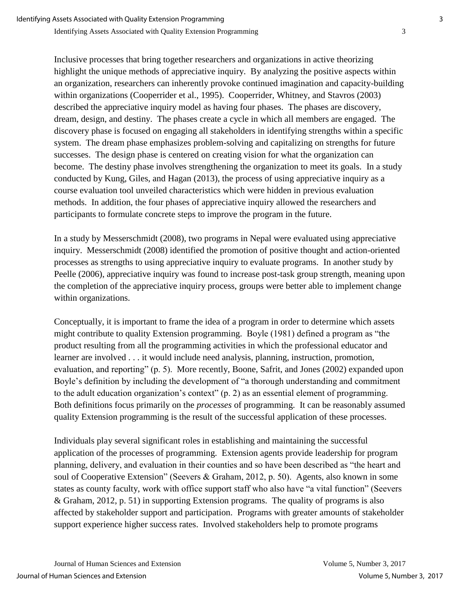Inclusive processes that bring together researchers and organizations in active theorizing highlight the unique methods of appreciative inquiry. By analyzing the positive aspects within an organization, researchers can inherently provoke continued imagination and capacity-building within organizations (Cooperrider et al., 1995). Cooperrider, Whitney, and Stavros (2003) described the appreciative inquiry model as having four phases. The phases are discovery, dream, design, and destiny. The phases create a cycle in which all members are engaged. The discovery phase is focused on engaging all stakeholders in identifying strengths within a specific system. The dream phase emphasizes problem-solving and capitalizing on strengths for future successes. The design phase is centered on creating vision for what the organization can become. The destiny phase involves strengthening the organization to meet its goals. In a study conducted by Kung, Giles, and Hagan (2013), the process of using appreciative inquiry as a course evaluation tool unveiled characteristics which were hidden in previous evaluation methods. In addition, the four phases of appreciative inquiry allowed the researchers and participants to formulate concrete steps to improve the program in the future.

In a study by Messerschmidt (2008), two programs in Nepal were evaluated using appreciative inquiry. Messerschmidt (2008) identified the promotion of positive thought and action-oriented processes as strengths to using appreciative inquiry to evaluate programs. In another study by Peelle (2006), appreciative inquiry was found to increase post-task group strength, meaning upon the completion of the appreciative inquiry process, groups were better able to implement change within organizations.

Conceptually, it is important to frame the idea of a program in order to determine which assets might contribute to quality Extension programming. Boyle (1981) defined a program as "the product resulting from all the programming activities in which the professional educator and learner are involved . . . it would include need analysis, planning, instruction, promotion, evaluation, and reporting" (p. 5). More recently, Boone, Safrit, and Jones (2002) expanded upon Boyle's definition by including the development of "a thorough understanding and commitment to the adult education organization's context" (p. 2) as an essential element of programming. Both definitions focus primarily on the *processes* of programming. It can be reasonably assumed quality Extension programming is the result of the successful application of these processes.

Individuals play several significant roles in establishing and maintaining the successful application of the processes of programming. Extension agents provide leadership for program planning, delivery, and evaluation in their counties and so have been described as "the heart and soul of Cooperative Extension" (Seevers & Graham, 2012, p. 50). Agents, also known in some states as county faculty, work with office support staff who also have "a vital function" (Seevers & Graham, 2012, p. 51) in supporting Extension programs. The quality of programs is also affected by stakeholder support and participation. Programs with greater amounts of stakeholder support experience higher success rates. Involved stakeholders help to promote programs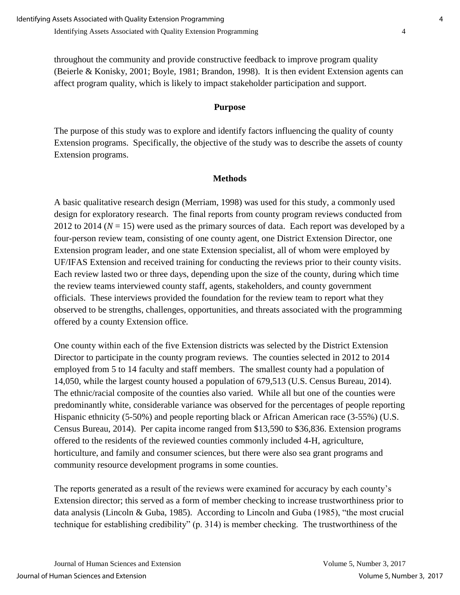throughout the community and provide constructive feedback to improve program quality (Beierle & Konisky, 2001; Boyle, 1981; Brandon, 1998). It is then evident Extension agents can affect program quality, which is likely to impact stakeholder participation and support.

#### **Purpose**

The purpose of this study was to explore and identify factors influencing the quality of county Extension programs. Specifically, the objective of the study was to describe the assets of county Extension programs.

### **Methods**

A basic qualitative research design (Merriam, 1998) was used for this study, a commonly used design for exploratory research. The final reports from county program reviews conducted from 2012 to 2014 ( $N = 15$ ) were used as the primary sources of data. Each report was developed by a four-person review team, consisting of one county agent, one District Extension Director, one Extension program leader, and one state Extension specialist, all of whom were employed by UF/IFAS Extension and received training for conducting the reviews prior to their county visits. Each review lasted two or three days, depending upon the size of the county, during which time the review teams interviewed county staff, agents, stakeholders, and county government officials. These interviews provided the foundation for the review team to report what they observed to be strengths, challenges, opportunities, and threats associated with the programming offered by a county Extension office.

One county within each of the five Extension districts was selected by the District Extension Director to participate in the county program reviews. The counties selected in 2012 to 2014 employed from 5 to 14 faculty and staff members. The smallest county had a population of 14,050, while the largest county housed a population of 679,513 (U.S. Census Bureau, 2014). The ethnic/racial composite of the counties also varied. While all but one of the counties were predominantly white, considerable variance was observed for the percentages of people reporting Hispanic ethnicity (5-50%) and people reporting black or African American race (3-55%) (U.S. Census Bureau, 2014). Per capita income ranged from \$13,590 to \$36,836. Extension programs offered to the residents of the reviewed counties commonly included 4-H, agriculture, horticulture, and family and consumer sciences, but there were also sea grant programs and community resource development programs in some counties.

The reports generated as a result of the reviews were examined for accuracy by each county's Extension director; this served as a form of member checking to increase trustworthiness prior to data analysis (Lincoln & Guba, 1985). According to Lincoln and Guba (1985), "the most crucial technique for establishing credibility" (p. 314) is member checking. The trustworthiness of the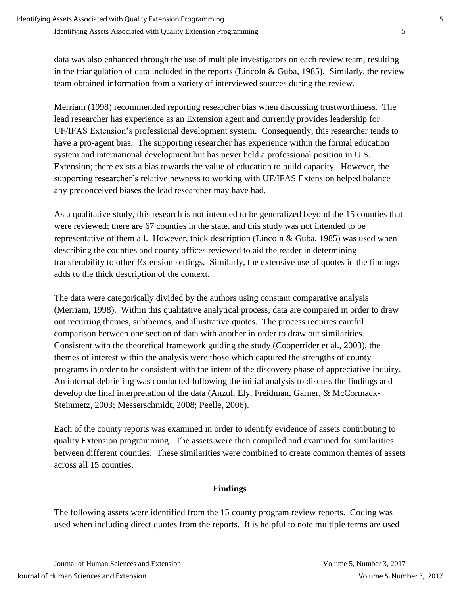data was also enhanced through the use of multiple investigators on each review team, resulting in the triangulation of data included in the reports (Lincoln & Guba, 1985). Similarly, the review team obtained information from a variety of interviewed sources during the review.

Merriam (1998) recommended reporting researcher bias when discussing trustworthiness. The lead researcher has experience as an Extension agent and currently provides leadership for UF/IFAS Extension's professional development system. Consequently, this researcher tends to have a pro-agent bias. The supporting researcher has experience within the formal education system and international development but has never held a professional position in U.S. Extension; there exists a bias towards the value of education to build capacity. However, the supporting researcher's relative newness to working with UF/IFAS Extension helped balance any preconceived biases the lead researcher may have had.

As a qualitative study, this research is not intended to be generalized beyond the 15 counties that were reviewed; there are 67 counties in the state, and this study was not intended to be representative of them all. However, thick description (Lincoln & Guba, 1985) was used when describing the counties and county offices reviewed to aid the reader in determining transferability to other Extension settings. Similarly, the extensive use of quotes in the findings adds to the thick description of the context.

The data were categorically divided by the authors using constant comparative analysis (Merriam, 1998). Within this qualitative analytical process, data are compared in order to draw out recurring themes, subthemes, and illustrative quotes. The process requires careful comparison between one section of data with another in order to draw out similarities. Consistent with the theoretical framework guiding the study (Cooperrider et al., 2003), the themes of interest within the analysis were those which captured the strengths of county programs in order to be consistent with the intent of the discovery phase of appreciative inquiry. An internal debriefing was conducted following the initial analysis to discuss the findings and develop the final interpretation of the data (Anzul, Ely, Freidman, Garner, & McCormack-Steinmetz, 2003; Messerschmidt, 2008; Peelle, 2006).

Each of the county reports was examined in order to identify evidence of assets contributing to quality Extension programming. The assets were then compiled and examined for similarities between different counties. These similarities were combined to create common themes of assets across all 15 counties.

#### **Findings**

The following assets were identified from the 15 county program review reports. Coding was used when including direct quotes from the reports. It is helpful to note multiple terms are used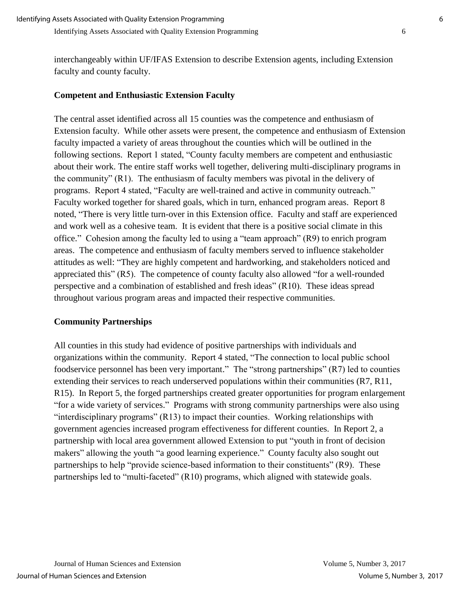interchangeably within UF/IFAS Extension to describe Extension agents, including Extension faculty and county faculty.

### **Competent and Enthusiastic Extension Faculty**

The central asset identified across all 15 counties was the competence and enthusiasm of Extension faculty. While other assets were present, the competence and enthusiasm of Extension faculty impacted a variety of areas throughout the counties which will be outlined in the following sections. Report 1 stated, "County faculty members are competent and enthusiastic about their work. The entire staff works well together, delivering multi-disciplinary programs in the community" (R1). The enthusiasm of faculty members was pivotal in the delivery of programs. Report 4 stated, "Faculty are well-trained and active in community outreach." Faculty worked together for shared goals, which in turn, enhanced program areas. Report 8 noted, "There is very little turn-over in this Extension office. Faculty and staff are experienced and work well as a cohesive team. It is evident that there is a positive social climate in this office." Cohesion among the faculty led to using a "team approach" (R9) to enrich program areas. The competence and enthusiasm of faculty members served to influence stakeholder attitudes as well: "They are highly competent and hardworking, and stakeholders noticed and appreciated this" (R5). The competence of county faculty also allowed "for a well-rounded perspective and a combination of established and fresh ideas" (R10). These ideas spread throughout various program areas and impacted their respective communities.

#### **Community Partnerships**

All counties in this study had evidence of positive partnerships with individuals and organizations within the community. Report 4 stated, "The connection to local public school foodservice personnel has been very important." The "strong partnerships" (R7) led to counties extending their services to reach underserved populations within their communities (R7, R11, R15). In Report 5, the forged partnerships created greater opportunities for program enlargement "for a wide variety of services." Programs with strong community partnerships were also using "interdisciplinary programs" (R13) to impact their counties. Working relationships with government agencies increased program effectiveness for different counties. In Report 2, a partnership with local area government allowed Extension to put "youth in front of decision makers" allowing the youth "a good learning experience." County faculty also sought out partnerships to help "provide science-based information to their constituents" (R9). These partnerships led to "multi-faceted" (R10) programs, which aligned with statewide goals.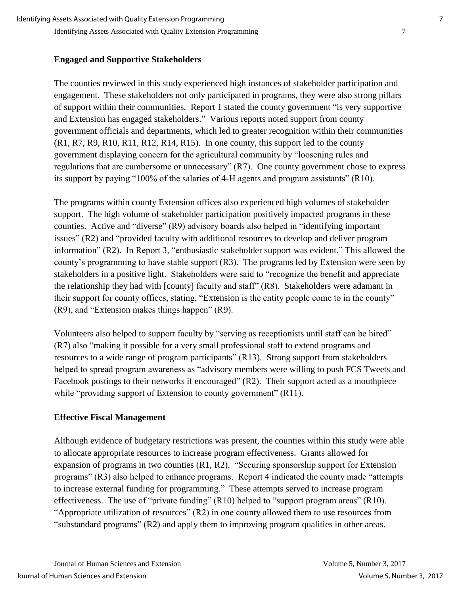#### **Engaged and Supportive Stakeholders**

The counties reviewed in this study experienced high instances of stakeholder participation and engagement. These stakeholders not only participated in programs, they were also strong pillars of support within their communities. Report 1 stated the county government "is very supportive and Extension has engaged stakeholders." Various reports noted support from county government officials and departments, which led to greater recognition within their communities  $(R1, R7, R9, R10, R11, R12, R14, R15)$ . In one county, this support led to the county government displaying concern for the agricultural community by "loosening rules and regulations that are cumbersome or unnecessary" (R7). One county government chose to express its support by paying "100% of the salaries of 4-H agents and program assistants" (R10).

The programs within county Extension offices also experienced high volumes of stakeholder support. The high volume of stakeholder participation positively impacted programs in these counties. Active and "diverse" (R9) advisory boards also helped in "identifying important issues" (R2) and "provided faculty with additional resources to develop and deliver program information" (R2). In Report 3, "enthusiastic stakeholder support was evident." This allowed the county's programming to have stable support (R3). The programs led by Extension were seen by stakeholders in a positive light. Stakeholders were said to "recognize the benefit and appreciate the relationship they had with [county] faculty and staff" (R8). Stakeholders were adamant in their support for county offices, stating, "Extension is the entity people come to in the county" (R9), and "Extension makes things happen" (R9).

Volunteers also helped to support faculty by "serving as receptionists until staff can be hired" (R7) also "making it possible for a very small professional staff to extend programs and resources to a wide range of program participants" (R13). Strong support from stakeholders helped to spread program awareness as "advisory members were willing to push FCS Tweets and Facebook postings to their networks if encouraged" (R2). Their support acted as a mouthpiece while "providing support of Extension to county government" (R11).

#### **Effective Fiscal Management**

Although evidence of budgetary restrictions was present, the counties within this study were able to allocate appropriate resources to increase program effectiveness. Grants allowed for expansion of programs in two counties (R1, R2). "Securing sponsorship support for Extension programs" (R3) also helped to enhance programs. Report 4 indicated the county made "attempts to increase external funding for programming." These attempts served to increase program effectiveness. The use of "private funding" (R10) helped to "support program areas" (R10). "Appropriate utilization of resources" (R2) in one county allowed them to use resources from "substandard programs" (R2) and apply them to improving program qualities in other areas.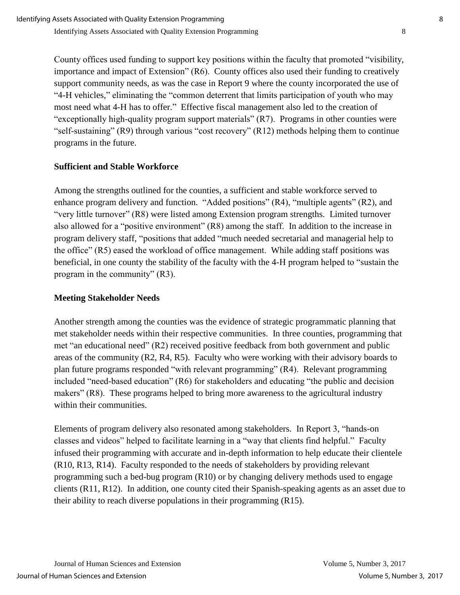County offices used funding to support key positions within the faculty that promoted "visibility, importance and impact of Extension" (R6). County offices also used their funding to creatively support community needs, as was the case in Report 9 where the county incorporated the use of "4-H vehicles," eliminating the "common deterrent that limits participation of youth who may most need what 4-H has to offer." Effective fiscal management also led to the creation of "exceptionally high-quality program support materials" (R7). Programs in other counties were "self-sustaining" (R9) through various "cost recovery" (R12) methods helping them to continue programs in the future.

#### **Sufficient and Stable Workforce**

Among the strengths outlined for the counties, a sufficient and stable workforce served to enhance program delivery and function. "Added positions" (R4), "multiple agents" (R2), and "very little turnover" (R8) were listed among Extension program strengths. Limited turnover also allowed for a "positive environment" (R8) among the staff. In addition to the increase in program delivery staff, "positions that added "much needed secretarial and managerial help to the office" (R5) eased the workload of office management. While adding staff positions was beneficial, in one county the stability of the faculty with the 4-H program helped to "sustain the program in the community" (R3).

#### **Meeting Stakeholder Needs**

Another strength among the counties was the evidence of strategic programmatic planning that met stakeholder needs within their respective communities. In three counties, programming that met "an educational need" (R2) received positive feedback from both government and public areas of the community (R2, R4, R5). Faculty who were working with their advisory boards to plan future programs responded "with relevant programming" (R4). Relevant programming included "need-based education" (R6) for stakeholders and educating "the public and decision makers" (R8). These programs helped to bring more awareness to the agricultural industry within their communities.

Elements of program delivery also resonated among stakeholders. In Report 3, "hands-on classes and videos" helped to facilitate learning in a "way that clients find helpful." Faculty infused their programming with accurate and in-depth information to help educate their clientele (R10, R13, R14). Faculty responded to the needs of stakeholders by providing relevant programming such a bed-bug program (R10) or by changing delivery methods used to engage clients (R11, R12). In addition, one county cited their Spanish-speaking agents as an asset due to their ability to reach diverse populations in their programming (R15).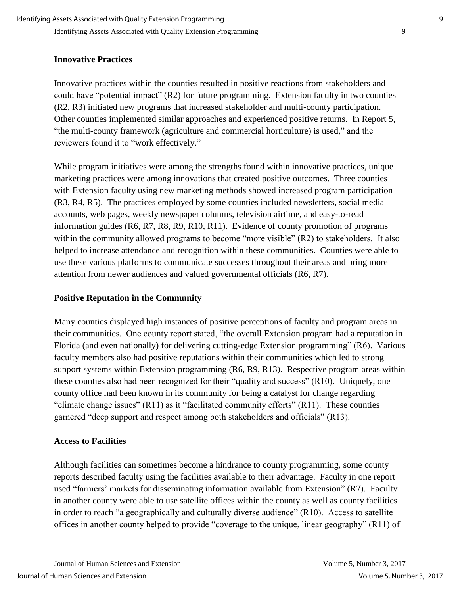### **Innovative Practices**

Innovative practices within the counties resulted in positive reactions from stakeholders and could have "potential impact" (R2) for future programming. Extension faculty in two counties (R2, R3) initiated new programs that increased stakeholder and multi-county participation. Other counties implemented similar approaches and experienced positive returns. In Report 5, "the multi-county framework (agriculture and commercial horticulture) is used," and the reviewers found it to "work effectively."

While program initiatives were among the strengths found within innovative practices, unique marketing practices were among innovations that created positive outcomes. Three counties with Extension faculty using new marketing methods showed increased program participation (R3, R4, R5). The practices employed by some counties included newsletters, social media accounts, web pages, weekly newspaper columns, television airtime, and easy-to-read information guides (R6, R7, R8, R9, R10, R11). Evidence of county promotion of programs within the community allowed programs to become "more visible" (R2) to stakeholders. It also helped to increase attendance and recognition within these communities. Counties were able to use these various platforms to communicate successes throughout their areas and bring more attention from newer audiences and valued governmental officials (R6, R7).

## **Positive Reputation in the Community**

Many counties displayed high instances of positive perceptions of faculty and program areas in their communities. One county report stated, "the overall Extension program had a reputation in Florida (and even nationally) for delivering cutting-edge Extension programming" (R6). Various faculty members also had positive reputations within their communities which led to strong support systems within Extension programming (R6, R9, R13). Respective program areas within these counties also had been recognized for their "quality and success" (R10). Uniquely, one county office had been known in its community for being a catalyst for change regarding "climate change issues" (R11) as it "facilitated community efforts" (R11). These counties garnered "deep support and respect among both stakeholders and officials" (R13).

## **Access to Facilities**

Although facilities can sometimes become a hindrance to county programming, some county reports described faculty using the facilities available to their advantage. Faculty in one report used "farmers' markets for disseminating information available from Extension" (R7). Faculty in another county were able to use satellite offices within the county as well as county facilities in order to reach "a geographically and culturally diverse audience" (R10). Access to satellite offices in another county helped to provide "coverage to the unique, linear geography" (R11) of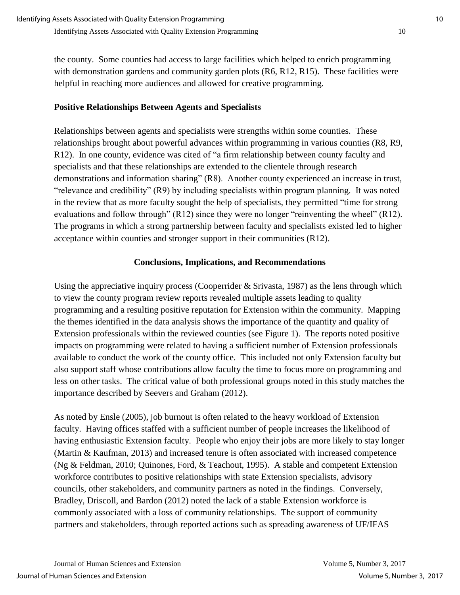the county. Some counties had access to large facilities which helped to enrich programming with demonstration gardens and community garden plots (R6, R12, R15). These facilities were helpful in reaching more audiences and allowed for creative programming.

## **Positive Relationships Between Agents and Specialists**

Relationships between agents and specialists were strengths within some counties. These relationships brought about powerful advances within programming in various counties (R8, R9, R12). In one county, evidence was cited of "a firm relationship between county faculty and specialists and that these relationships are extended to the clientele through research demonstrations and information sharing" (R8). Another county experienced an increase in trust, "relevance and credibility" (R9) by including specialists within program planning. It was noted in the review that as more faculty sought the help of specialists, they permitted "time for strong evaluations and follow through" (R12) since they were no longer "reinventing the wheel" (R12). The programs in which a strong partnership between faculty and specialists existed led to higher acceptance within counties and stronger support in their communities (R12).

### **Conclusions, Implications, and Recommendations**

Using the appreciative inquiry process (Cooperrider & Srivasta, 1987) as the lens through which to view the county program review reports revealed multiple assets leading to quality programming and a resulting positive reputation for Extension within the community. Mapping the themes identified in the data analysis shows the importance of the quantity and quality of Extension professionals within the reviewed counties (see Figure 1). The reports noted positive impacts on programming were related to having a sufficient number of Extension professionals available to conduct the work of the county office. This included not only Extension faculty but also support staff whose contributions allow faculty the time to focus more on programming and less on other tasks. The critical value of both professional groups noted in this study matches the importance described by Seevers and Graham (2012).

As noted by Ensle (2005), job burnout is often related to the heavy workload of Extension faculty. Having offices staffed with a sufficient number of people increases the likelihood of having enthusiastic Extension faculty. People who enjoy their jobs are more likely to stay longer (Martin & Kaufman, 2013) and increased tenure is often associated with increased competence (Ng & Feldman, 2010; Quinones, Ford, & Teachout, 1995). A stable and competent Extension workforce contributes to positive relationships with state Extension specialists, advisory councils, other stakeholders, and community partners as noted in the findings. Conversely, Bradley, Driscoll, and Bardon (2012) noted the lack of a stable Extension workforce is commonly associated with a loss of community relationships. The support of community partners and stakeholders, through reported actions such as spreading awareness of UF/IFAS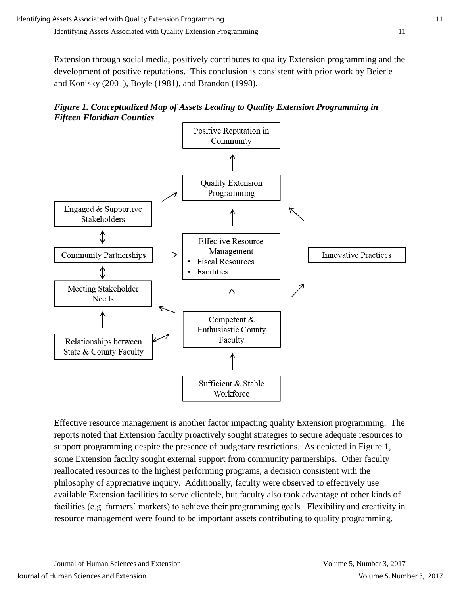Extension through social media, positively contributes to quality Extension programming and the development of positive reputations. This conclusion is consistent with prior work by Beierle and Konisky (2001), Boyle (1981), and Brandon (1998).





Effective resource management is another factor impacting quality Extension programming. The reports noted that Extension faculty proactively sought strategies to secure adequate resources to support programming despite the presence of budgetary restrictions. As depicted in Figure 1, some Extension faculty sought external support from community partnerships. Other faculty reallocated resources to the highest performing programs, a decision consistent with the philosophy of appreciative inquiry. Additionally, faculty were observed to effectively use available Extension facilities to serve clientele, but faculty also took advantage of other kinds of facilities (e.g. farmers' markets) to achieve their programming goals. Flexibility and creativity in resource management were found to be important assets contributing to quality programming.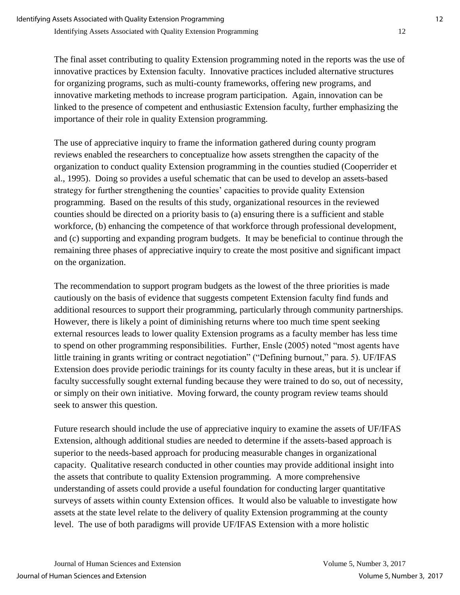The final asset contributing to quality Extension programming noted in the reports was the use of innovative practices by Extension faculty. Innovative practices included alternative structures for organizing programs, such as multi-county frameworks, offering new programs, and innovative marketing methods to increase program participation. Again, innovation can be linked to the presence of competent and enthusiastic Extension faculty, further emphasizing the importance of their role in quality Extension programming.

The use of appreciative inquiry to frame the information gathered during county program reviews enabled the researchers to conceptualize how assets strengthen the capacity of the organization to conduct quality Extension programming in the counties studied (Cooperrider et al., 1995). Doing so provides a useful schematic that can be used to develop an assets-based strategy for further strengthening the counties' capacities to provide quality Extension programming. Based on the results of this study, organizational resources in the reviewed counties should be directed on a priority basis to (a) ensuring there is a sufficient and stable workforce, (b) enhancing the competence of that workforce through professional development, and (c) supporting and expanding program budgets. It may be beneficial to continue through the remaining three phases of appreciative inquiry to create the most positive and significant impact on the organization.

The recommendation to support program budgets as the lowest of the three priorities is made cautiously on the basis of evidence that suggests competent Extension faculty find funds and additional resources to support their programming, particularly through community partnerships. However, there is likely a point of diminishing returns where too much time spent seeking external resources leads to lower quality Extension programs as a faculty member has less time to spend on other programming responsibilities. Further, Ensle (2005) noted "most agents have little training in grants writing or contract negotiation" ("Defining burnout," para. 5). UF/IFAS Extension does provide periodic trainings for its county faculty in these areas, but it is unclear if faculty successfully sought external funding because they were trained to do so, out of necessity, or simply on their own initiative. Moving forward, the county program review teams should seek to answer this question.

Future research should include the use of appreciative inquiry to examine the assets of UF/IFAS Extension, although additional studies are needed to determine if the assets-based approach is superior to the needs-based approach for producing measurable changes in organizational capacity. Qualitative research conducted in other counties may provide additional insight into the assets that contribute to quality Extension programming. A more comprehensive understanding of assets could provide a useful foundation for conducting larger quantitative surveys of assets within county Extension offices. It would also be valuable to investigate how assets at the state level relate to the delivery of quality Extension programming at the county level. The use of both paradigms will provide UF/IFAS Extension with a more holistic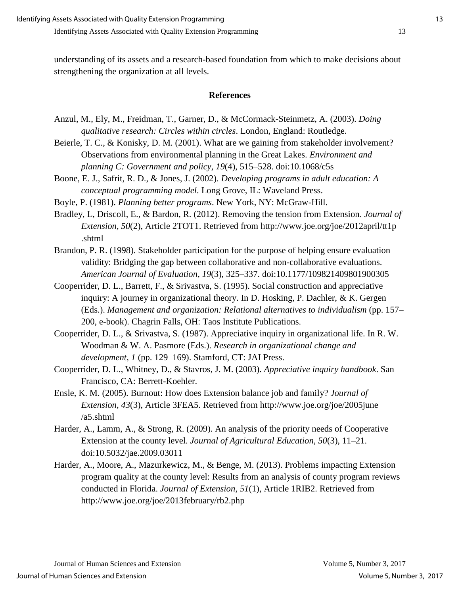understanding of its assets and a research-based foundation from which to make decisions about strengthening the organization at all levels.

#### **References**

- Anzul, M., Ely, M., Freidman, T., Garner, D., & McCormack-Steinmetz, A. (2003). *Doing qualitative research: Circles within circles*. London, England: Routledge.
- Beierle, T. C., & Konisky, D. M. (2001). What are we gaining from stakeholder involvement? Observations from environmental planning in the Great Lakes. *Environment and planning C: Government and policy*, *19*(4), 515–528. doi:10.1068/c5s
- Boone, E. J., Safrit, R. D., & Jones, J. (2002). *Developing programs in adult education: A conceptual programming model*. Long Grove, IL: Waveland Press.
- Boyle, P. (1981). *Planning better programs*. New York, NY: McGraw-Hill.
- Bradley, L, Driscoll, E., & Bardon, R. (2012). Removing the tension from Extension. *Journal of Extension, 50*(2), Article 2TOT1. Retrieved from http://www.joe.org/joe/2012april/tt1p .shtml
- Brandon, P. R. (1998). Stakeholder participation for the purpose of helping ensure evaluation validity: Bridging the gap between collaborative and non-collaborative evaluations. *American Journal of Evaluation*, *19*(3), 325–337. doi:10.1177/109821409801900305
- Cooperrider, D. L., Barrett, F., & Srivastva, S. (1995). Social construction and appreciative inquiry: A journey in organizational theory. In D. Hosking, P. Dachler, & K. Gergen (Eds.). *Management and organization: Relational alternatives to individualism* (pp. 157– 200, e-book). Chagrin Falls, OH: Taos Institute Publications.
- Cooperrider, D. L., & Srivastva, S. (1987). Appreciative inquiry in organizational life. In R. W. Woodman & W. A. Pasmore (Eds.). *Research in organizational change and development*, *1* (pp. 129–169). Stamford, CT: JAI Press.
- Cooperrider, D. L., Whitney, D., & Stavros, J. M. (2003). *Appreciative inquiry handbook*. San Francisco, CA: Berrett-Koehler.
- Ensle, K. M. (2005). Burnout: How does Extension balance job and family? *Journal of Extension, 43*(3), Article 3FEA5. Retrieved from http://www.joe.org/joe/2005june /a5.shtml
- Harder, A., Lamm, A., & Strong, R. (2009). An analysis of the priority needs of Cooperative Extension at the county level. *Journal of Agricultural Education, 50*(3), 11–21. doi:10.5032/jae.2009.03011
- Harder, A., Moore, A., Mazurkewicz, M., & Benge, M. (2013). Problems impacting Extension program quality at the county level: Results from an analysis of county program reviews conducted in Florida. *Journal of Extension*, *51*(1), Article 1RIB2. Retrieved from http://www.joe.org/joe/2013february/rb2.php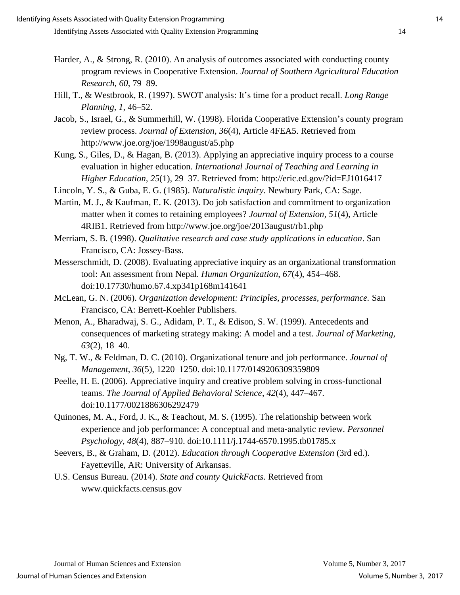- Harder, A., & Strong, R. (2010). An analysis of outcomes associated with conducting county program reviews in Cooperative Extension. *Journal of Southern Agricultural Education Research*, *60*, 79–89.
- Hill, T., & Westbrook, R. (1997). SWOT analysis: It's time for a product recall. *Long Range Planning, 1*, 46–52.
- Jacob, S., Israel, G., & Summerhill, W. (1998). Florida Cooperative Extension's county program review process. *Journal of Extension, 36*(4), Article 4FEA5. Retrieved from http://www.joe.org/joe/1998august/a5.php
- Kung, S., Giles, D., & Hagan, B. (2013). Applying an appreciative inquiry process to a course evaluation in higher education. *International Journal of Teaching and Learning in Higher Education*, *25*(1), 29–37. Retrieved from: http://eric.ed.gov/?id=EJ1016417
- Lincoln, Y. S., & Guba, E. G. (1985). *Naturalistic inquiry*. Newbury Park, CA: Sage.
- Martin, M. J., & Kaufman, E. K. (2013). Do job satisfaction and commitment to organization matter when it comes to retaining employees? *Journal of Extension, 51*(4), Article 4RIB1. Retrieved from http://www.joe.org/joe/2013august/rb1.php
- Merriam, S. B. (1998). *Qualitative research and case study applications in education*. San Francisco, CA: Jossey-Bass.
- Messerschmidt, D. (2008). Evaluating appreciative inquiry as an organizational transformation tool: An assessment from Nepal. *Human Organization*, *67*(4), 454–468. doi:10.17730/humo.67.4.xp341p168m141641
- McLean, G. N. (2006). *Organization development: Principles, processes, performance.* San Francisco, CA: Berrett-Koehler Publishers.
- Menon, A., Bharadwaj, S. G., Adidam, P. T., & Edison, S. W. (1999). Antecedents and consequences of marketing strategy making: A model and a test. *Journal of Marketing, 63*(2), 18–40.
- Ng, T. W., & Feldman, D. C. (2010). Organizational tenure and job performance. *Journal of Management*, *36*(5), 1220–1250. doi:10.1177/0149206309359809
- Peelle, H. E. (2006). Appreciative inquiry and creative problem solving in cross-functional teams. *The Journal of Applied Behavioral Science*, *42*(4), 447–467. doi:10.1177/0021886306292479
- Quinones, M. A., Ford, J. K., & Teachout, M. S. (1995). The relationship between work experience and job performance: A conceptual and meta‐analytic review. *Personnel Psychology*, *48*(4), 887–910. doi:10.1111/j.1744-6570.1995.tb01785.x
- Seevers, B., & Graham, D. (2012). *Education through Cooperative Extension* (3rd ed.). Fayetteville, AR: University of Arkansas.
- U.S. Census Bureau. (2014). *State and county QuickFacts*. Retrieved from www.quickfacts.census.gov